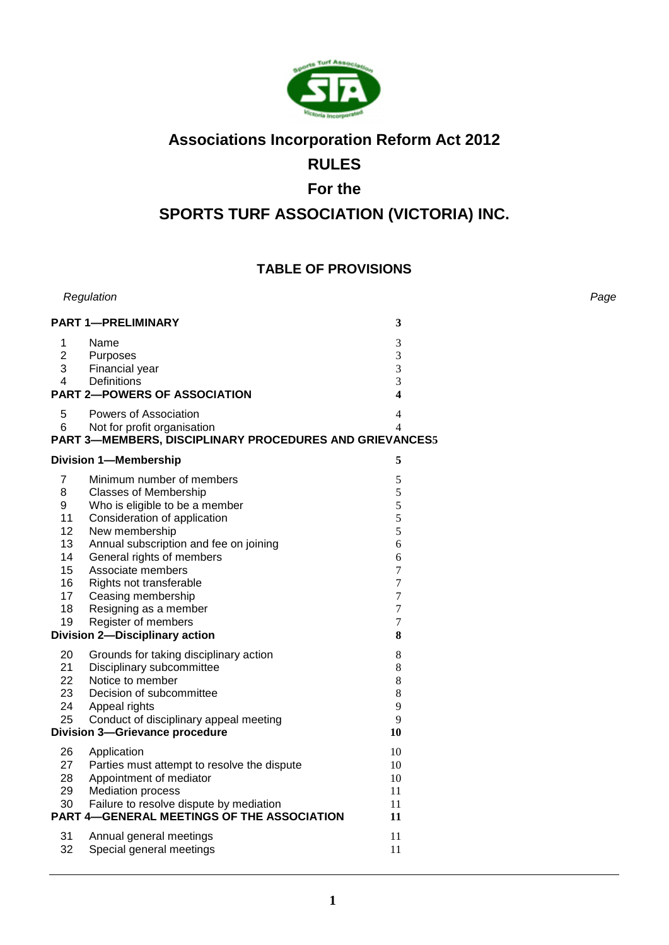

# **Associations Incorporation Reform Act 2012**

# **RULES**

# **For the**

# **SPORTS TURF ASSOCIATION (VICTORIA) INC.**

# **TABLE OF PROVISIONS**

|                                                                                | Regulation                                                                                                                                                                                                                                                                                                                                                                          |                                                                                                                   | Page |
|--------------------------------------------------------------------------------|-------------------------------------------------------------------------------------------------------------------------------------------------------------------------------------------------------------------------------------------------------------------------------------------------------------------------------------------------------------------------------------|-------------------------------------------------------------------------------------------------------------------|------|
|                                                                                | <b>PART 1-PRELIMINARY</b>                                                                                                                                                                                                                                                                                                                                                           | 3                                                                                                                 |      |
| $\mathbf 1$<br>$\overline{2}$<br>3<br>4                                        | Name<br>Purposes<br>Financial year<br>Definitions                                                                                                                                                                                                                                                                                                                                   | 3<br>3<br>3<br>3                                                                                                  |      |
|                                                                                | <b>PART 2-POWERS OF ASSOCIATION</b>                                                                                                                                                                                                                                                                                                                                                 | $\overline{\mathbf{4}}$                                                                                           |      |
| 5<br>6                                                                         | Powers of Association<br>Not for profit organisation<br>PART 3-MEMBERS, DISCIPLINARY PROCEDURES AND GRIEVANCES5                                                                                                                                                                                                                                                                     | 4<br>$\overline{\mathcal{L}}$                                                                                     |      |
|                                                                                | <b>Division 1-Membership</b>                                                                                                                                                                                                                                                                                                                                                        | 5                                                                                                                 |      |
| $\overline{7}$<br>8<br>9<br>11<br>12<br>13<br>14<br>15<br>16<br>17<br>18<br>19 | Minimum number of members<br><b>Classes of Membership</b><br>Who is eligible to be a member<br>Consideration of application<br>New membership<br>Annual subscription and fee on joining<br>General rights of members<br>Associate members<br>Rights not transferable<br>Ceasing membership<br>Resigning as a member<br>Register of members<br><b>Division 2-Disciplinary action</b> | 5<br>5<br>5<br>5<br>5<br>6<br>6<br>$\overline{7}$<br>$\overline{7}$<br>$\overline{7}$<br>$\overline{7}$<br>7<br>8 |      |
| 20<br>21<br>22<br>23<br>24<br>25                                               | Grounds for taking disciplinary action<br>Disciplinary subcommittee<br>Notice to member<br>Decision of subcommittee<br>Appeal rights<br>Conduct of disciplinary appeal meeting<br><b>Division 3-Grievance procedure</b>                                                                                                                                                             | 8<br>8<br>8<br>8<br>9<br>9<br>10                                                                                  |      |
| 26<br>27<br>28<br>29<br>30                                                     | Application<br>Parties must attempt to resolve the dispute<br>Appointment of mediator<br><b>Mediation process</b><br>Failure to resolve dispute by mediation<br><b>PART 4-GENERAL MEETINGS OF THE ASSOCIATION</b>                                                                                                                                                                   | 10<br>10<br>10<br>11<br>11<br>11                                                                                  |      |
| 31<br>32                                                                       | Annual general meetings<br>Special general meetings                                                                                                                                                                                                                                                                                                                                 | 11<br>11                                                                                                          |      |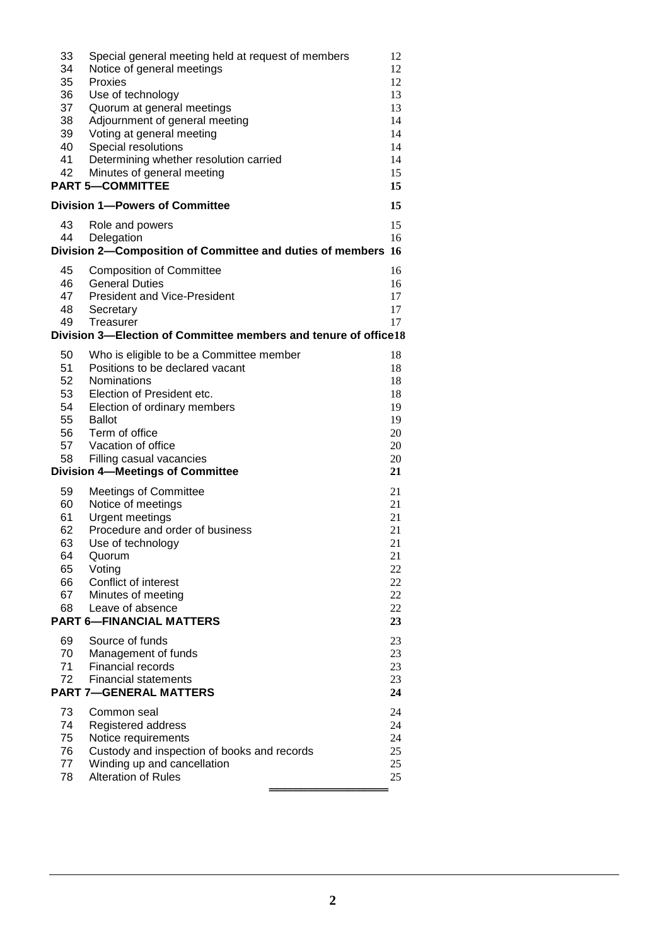| 33                                                               | Special general meeting held at request of members              | 12 |  |
|------------------------------------------------------------------|-----------------------------------------------------------------|----|--|
| 34                                                               | Notice of general meetings                                      | 12 |  |
| 35                                                               | Proxies                                                         | 12 |  |
| 36                                                               | Use of technology                                               | 13 |  |
| 37                                                               | Quorum at general meetings                                      | 13 |  |
| 38                                                               | Adjournment of general meeting                                  | 14 |  |
| 39                                                               | Voting at general meeting                                       | 14 |  |
| 40                                                               | Special resolutions                                             | 14 |  |
| 41                                                               | Determining whether resolution carried                          | 14 |  |
| 42                                                               | Minutes of general meeting                                      | 15 |  |
|                                                                  |                                                                 | 15 |  |
| <b>PART 5-COMMITTEE</b><br><b>Division 1-Powers of Committee</b> |                                                                 | 15 |  |
| 43                                                               | Role and powers                                                 | 15 |  |
| 44                                                               | Delegation                                                      | 16 |  |
|                                                                  | Division 2-Composition of Committee and duties of members 16    |    |  |
|                                                                  |                                                                 |    |  |
| 45                                                               | <b>Composition of Committee</b>                                 | 16 |  |
| 46                                                               | <b>General Duties</b>                                           | 16 |  |
| 47                                                               | <b>President and Vice-President</b>                             | 17 |  |
| 48                                                               | Secretary                                                       | 17 |  |
| 49                                                               | Treasurer                                                       | 17 |  |
|                                                                  | Division 3-Election of Committee members and tenure of office18 |    |  |
| 50                                                               | Who is eligible to be a Committee member                        | 18 |  |
| 51                                                               | Positions to be declared vacant                                 | 18 |  |
| 52                                                               | Nominations                                                     | 18 |  |
| 53                                                               | Election of President etc.                                      | 18 |  |
| 54                                                               | Election of ordinary members                                    | 19 |  |
| 55                                                               | <b>Ballot</b>                                                   | 19 |  |
| 56                                                               | Term of office                                                  | 20 |  |
| 57                                                               | Vacation of office                                              | 20 |  |
| 58                                                               | Filling casual vacancies                                        | 20 |  |
|                                                                  | <b>Division 4-Meetings of Committee</b>                         | 21 |  |
|                                                                  |                                                                 |    |  |
| 59                                                               | <b>Meetings of Committee</b>                                    | 21 |  |
| 60                                                               | Notice of meetings                                              | 21 |  |
| 61                                                               | Urgent meetings                                                 | 21 |  |
| 62                                                               | Procedure and order of business                                 | 21 |  |
| 63                                                               | Use of technology                                               | 21 |  |
| 64                                                               | Quorum                                                          | 21 |  |
| 65                                                               | Voting                                                          | 22 |  |
| 66                                                               | Conflict of interest                                            | 22 |  |
| 67                                                               | Minutes of meeting                                              | 22 |  |
| 68                                                               | Leave of absence                                                | 22 |  |
|                                                                  | <b>PART 6-FINANCIAL MATTERS</b>                                 | 23 |  |
| 69                                                               | Source of funds                                                 | 23 |  |
| 70                                                               | Management of funds                                             | 23 |  |
| 71                                                               | Financial records                                               | 23 |  |
| 72                                                               | <b>Financial statements</b>                                     | 23 |  |
|                                                                  | <b>PART 7-GENERAL MATTERS</b>                                   |    |  |
|                                                                  |                                                                 | 24 |  |
| 73                                                               | Common seal                                                     | 24 |  |
| 74                                                               | Registered address                                              | 24 |  |
| 75                                                               | Notice requirements                                             | 24 |  |
| 76                                                               | Custody and inspection of books and records                     | 25 |  |
| 77                                                               | Winding up and cancellation                                     | 25 |  |
| 78                                                               | Alteration of Rules                                             | 25 |  |
|                                                                  |                                                                 |    |  |
|                                                                  |                                                                 |    |  |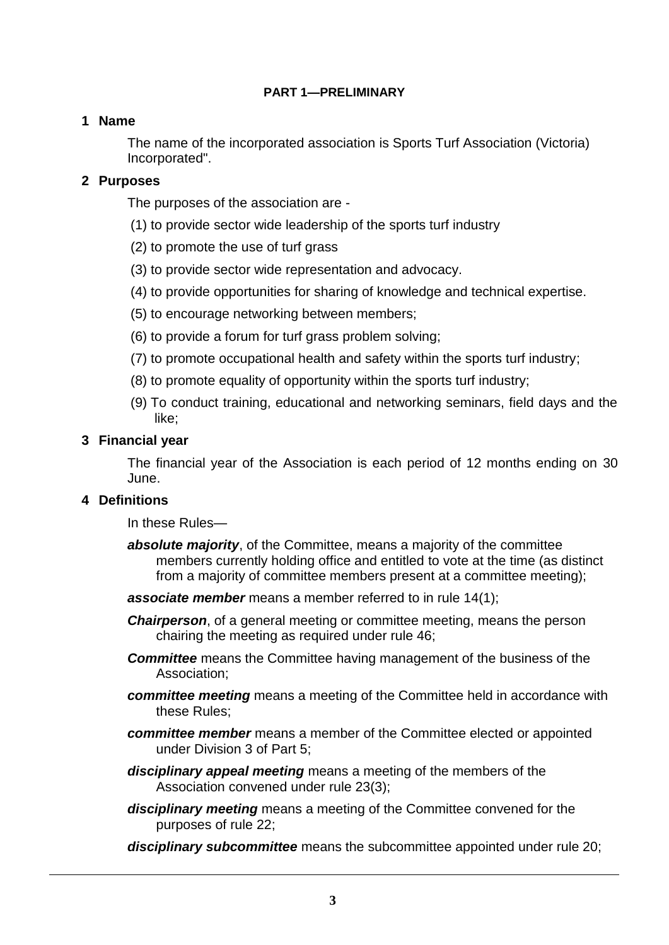## **PART 1—PRELIMINARY**

## **1 Name**

The name of the incorporated association is Sports Turf Association (Victoria) Incorporated".

## **2 Purposes**

The purposes of the association are -

- (1) to provide sector wide leadership of the sports turf industry
- (2) to promote the use of turf grass
- (3) to provide sector wide representation and advocacy.
- (4) to provide opportunities for sharing of knowledge and technical expertise.
- (5) to encourage networking between members;
- (6) to provide a forum for turf grass problem solving;
- (7) to promote occupational health and safety within the sports turf industry;
- (8) to promote equality of opportunity within the sports turf industry;
- (9) To conduct training, educational and networking seminars, field days and the like;

## **3 Financial year**

The financial year of the Association is each period of 12 months ending on 30 June.

## **4 Definitions**

In these Rules—

- *absolute majority*, of the Committee, means a majority of the committee members currently holding office and entitled to vote at the time (as distinct from a majority of committee members present at a committee meeting);
- *associate member* means a member referred to in rule 14(1);
- *Chairperson*, of a general meeting or committee meeting, means the person chairing the meeting as required under rule 46;
- **Committee** means the Committee having management of the business of the Association;
- *committee meeting* means a meeting of the Committee held in accordance with these Rules;
- *committee member* means a member of the Committee elected or appointed under Division 3 of Part 5;
- *disciplinary appeal meeting* means a meeting of the members of the Association convened under rule 23(3);
- *disciplinary meeting* means a meeting of the Committee convened for the purposes of rule 22;
- *disciplinary subcommittee* means the subcommittee appointed under rule 20;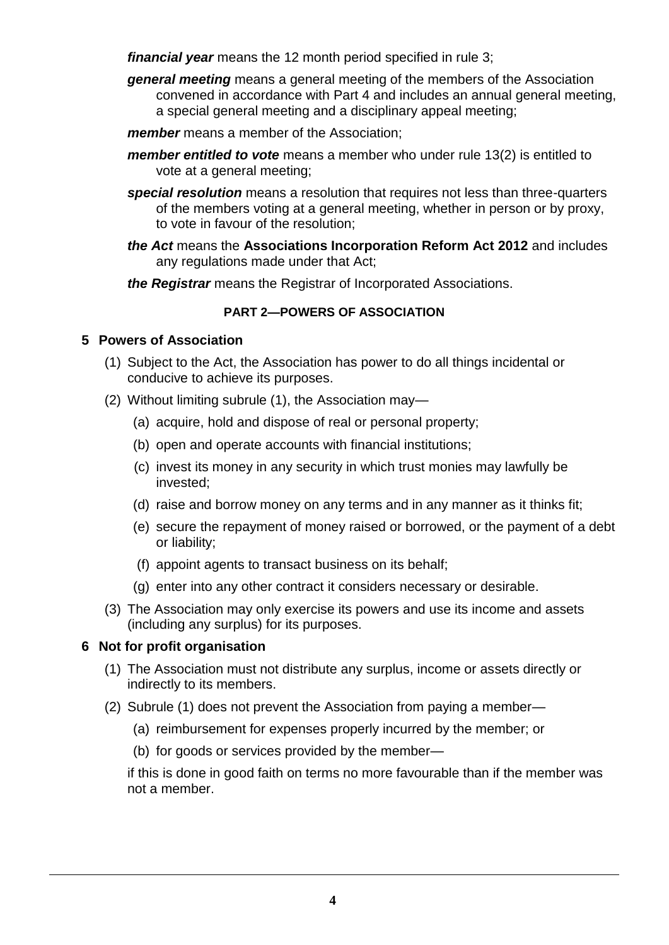*financial year* means the 12 month period specified in rule 3;

*general meeting* means a general meeting of the members of the Association convened in accordance with Part 4 and includes an annual general meeting, a special general meeting and a disciplinary appeal meeting;

*member* means a member of the Association;

- *member entitled to vote* means a member who under rule 13(2) is entitled to vote at a general meeting;
- *special resolution* means a resolution that requires not less than three-quarters of the members voting at a general meeting, whether in person or by proxy, to vote in favour of the resolution;
- *the Act* means the **Associations Incorporation Reform Act 2012** and includes any regulations made under that Act;

*the Registrar* means the Registrar of Incorporated Associations.

# **PART 2—POWERS OF ASSOCIATION**

# **5 Powers of Association**

- (1) Subject to the Act, the Association has power to do all things incidental or conducive to achieve its purposes.
- (2) Without limiting subrule (1), the Association may—
	- (a) acquire, hold and dispose of real or personal property;
	- (b) open and operate accounts with financial institutions;
	- (c) invest its money in any security in which trust monies may lawfully be invested;
	- (d) raise and borrow money on any terms and in any manner as it thinks fit;
	- (e) secure the repayment of money raised or borrowed, or the payment of a debt or liability;
	- (f) appoint agents to transact business on its behalf;
	- (g) enter into any other contract it considers necessary or desirable.
- (3) The Association may only exercise its powers and use its income and assets (including any surplus) for its purposes.

# **6 Not for profit organisation**

- (1) The Association must not distribute any surplus, income or assets directly or indirectly to its members.
- (2) Subrule (1) does not prevent the Association from paying a member—
	- (a) reimbursement for expenses properly incurred by the member; or
	- (b) for goods or services provided by the member—

if this is done in good faith on terms no more favourable than if the member was not a member.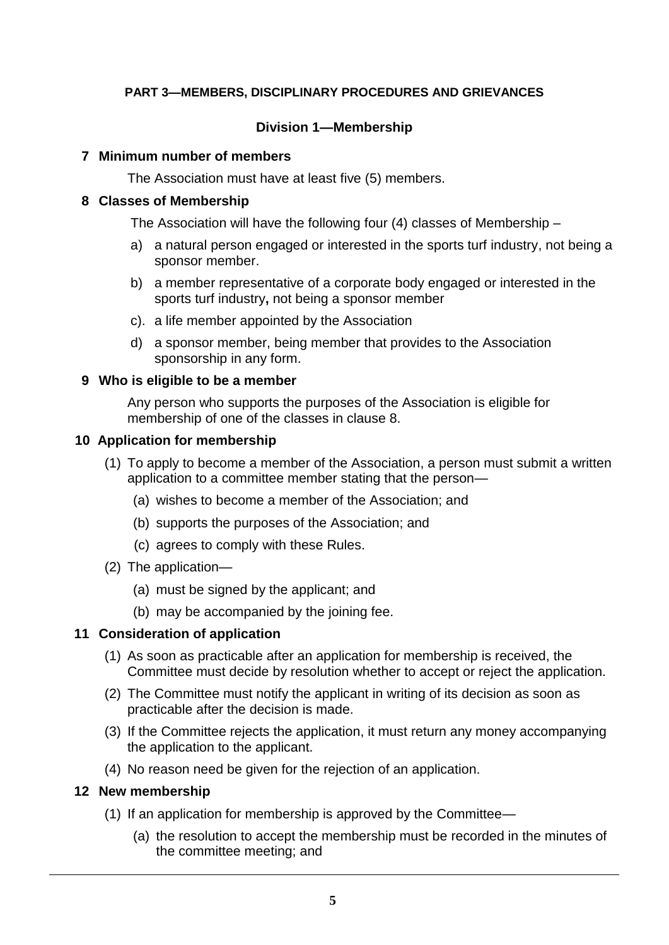# **PART 3—MEMBERS, DISCIPLINARY PROCEDURES AND GRIEVANCES**

### **Division 1—Membership**

#### **7 Minimum number of members**

The Association must have at least five (5) members.

#### **8 Classes of Membership**

The Association will have the following four (4) classes of Membership –

- a) a natural person engaged or interested in the sports turf industry, not being a sponsor member.
- b) a member representative of a corporate body engaged or interested in the sports turf industry**,** not being a sponsor member
- c). a life member appointed by the Association
- d) a sponsor member, being member that provides to the Association sponsorship in any form.

#### **9 Who is eligible to be a member**

Any person who supports the purposes of the Association is eligible for membership of one of the classes in clause 8.

#### **10 Application for membership**

- (1) To apply to become a member of the Association, a person must submit a written application to a committee member stating that the person—
	- (a) wishes to become a member of the Association; and
	- (b) supports the purposes of the Association; and
	- (c) agrees to comply with these Rules.
- (2) The application—
	- (a) must be signed by the applicant; and
	- (b) may be accompanied by the joining fee.

#### **11 Consideration of application**

- (1) As soon as practicable after an application for membership is received, the Committee must decide by resolution whether to accept or reject the application.
- (2) The Committee must notify the applicant in writing of its decision as soon as practicable after the decision is made.
- (3) If the Committee rejects the application, it must return any money accompanying the application to the applicant.
- (4) No reason need be given for the rejection of an application.

#### **12 New membership**

- (1) If an application for membership is approved by the Committee—
	- (a) the resolution to accept the membership must be recorded in the minutes of the committee meeting; and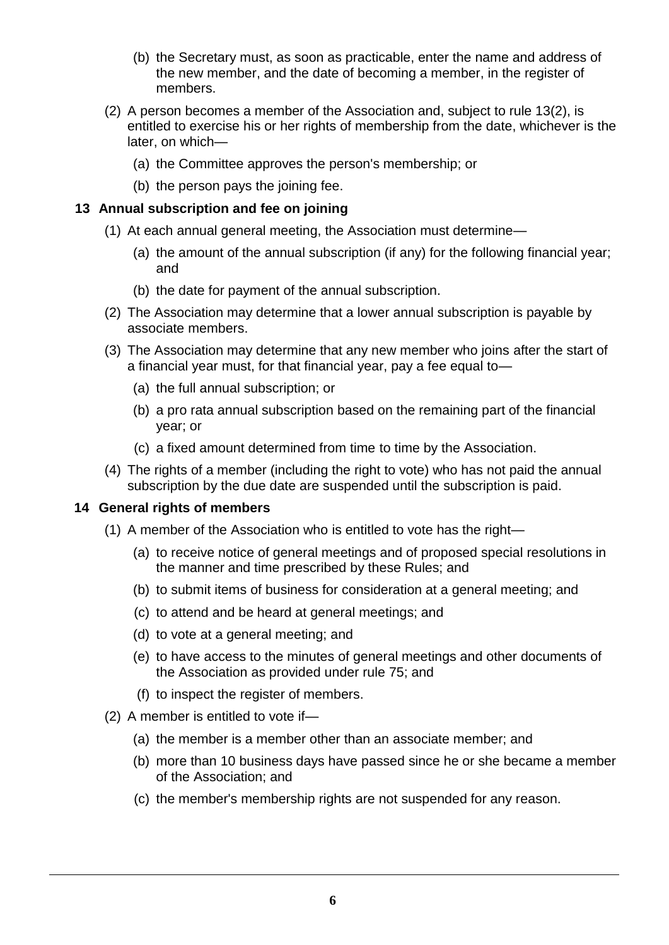- (b) the Secretary must, as soon as practicable, enter the name and address of the new member, and the date of becoming a member, in the register of members.
- (2) A person becomes a member of the Association and, subject to rule 13(2), is entitled to exercise his or her rights of membership from the date, whichever is the later, on which—
	- (a) the Committee approves the person's membership; or
	- (b) the person pays the joining fee.

## **13 Annual subscription and fee on joining**

- (1) At each annual general meeting, the Association must determine—
	- (a) the amount of the annual subscription (if any) for the following financial year; and
	- (b) the date for payment of the annual subscription.
- (2) The Association may determine that a lower annual subscription is payable by associate members.
- (3) The Association may determine that any new member who joins after the start of a financial year must, for that financial year, pay a fee equal to—
	- (a) the full annual subscription; or
	- (b) a pro rata annual subscription based on the remaining part of the financial year; or
	- (c) a fixed amount determined from time to time by the Association.
- (4) The rights of a member (including the right to vote) who has not paid the annual subscription by the due date are suspended until the subscription is paid.

#### **14 General rights of members**

- (1) A member of the Association who is entitled to vote has the right—
	- (a) to receive notice of general meetings and of proposed special resolutions in the manner and time prescribed by these Rules; and
	- (b) to submit items of business for consideration at a general meeting; and
	- (c) to attend and be heard at general meetings; and
	- (d) to vote at a general meeting; and
	- (e) to have access to the minutes of general meetings and other documents of the Association as provided under rule 75; and
	- (f) to inspect the register of members.
- (2) A member is entitled to vote if—
	- (a) the member is a member other than an associate member; and
	- (b) more than 10 business days have passed since he or she became a member of the Association; and
	- (c) the member's membership rights are not suspended for any reason.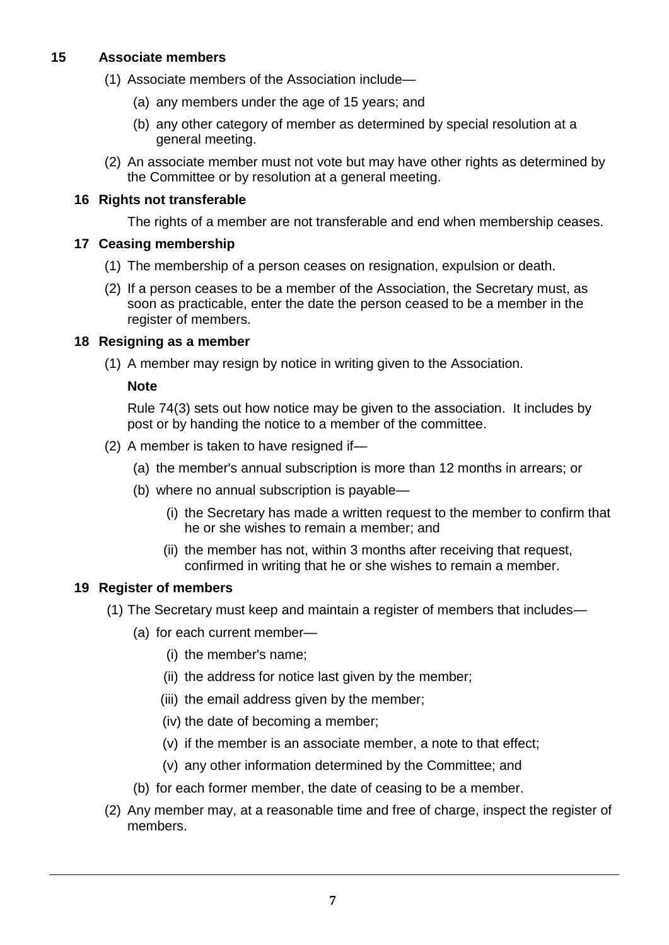# **15 Associate members**

- (1) Associate members of the Association include—
	- (a) any members under the age of 15 years; and
	- (b) any other category of member as determined by special resolution at a general meeting.
- (2) An associate member must not vote but may have other rights as determined by the Committee or by resolution at a general meeting.

## **16 Rights not transferable**

The rights of a member are not transferable and end when membership ceases.

## **17 Ceasing membership**

- (1) The membership of a person ceases on resignation, expulsion or death.
- (2) If a person ceases to be a member of the Association, the Secretary must, as soon as practicable, enter the date the person ceased to be a member in the register of members.

## **18 Resigning as a member**

(1) A member may resign by notice in writing given to the Association.

## **Note**

Rule 74(3) sets out how notice may be given to the association. It includes by post or by handing the notice to a member of the committee.

- (2) A member is taken to have resigned if—
	- (a) the member's annual subscription is more than 12 months in arrears; or
	- (b) where no annual subscription is payable—
		- (i) the Secretary has made a written request to the member to confirm that he or she wishes to remain a member; and
		- (ii) the member has not, within 3 months after receiving that request, confirmed in writing that he or she wishes to remain a member.

#### **19 Register of members**

- (1) The Secretary must keep and maintain a register of members that includes—
	- (a) for each current member—
		- (i) the member's name;
		- (ii) the address for notice last given by the member;
		- (iii) the email address given by the member;
		- (iv) the date of becoming a member;
		- (v) if the member is an associate member, a note to that effect;
		- (v) any other information determined by the Committee; and
	- (b) for each former member, the date of ceasing to be a member.
- (2) Any member may, at a reasonable time and free of charge, inspect the register of members.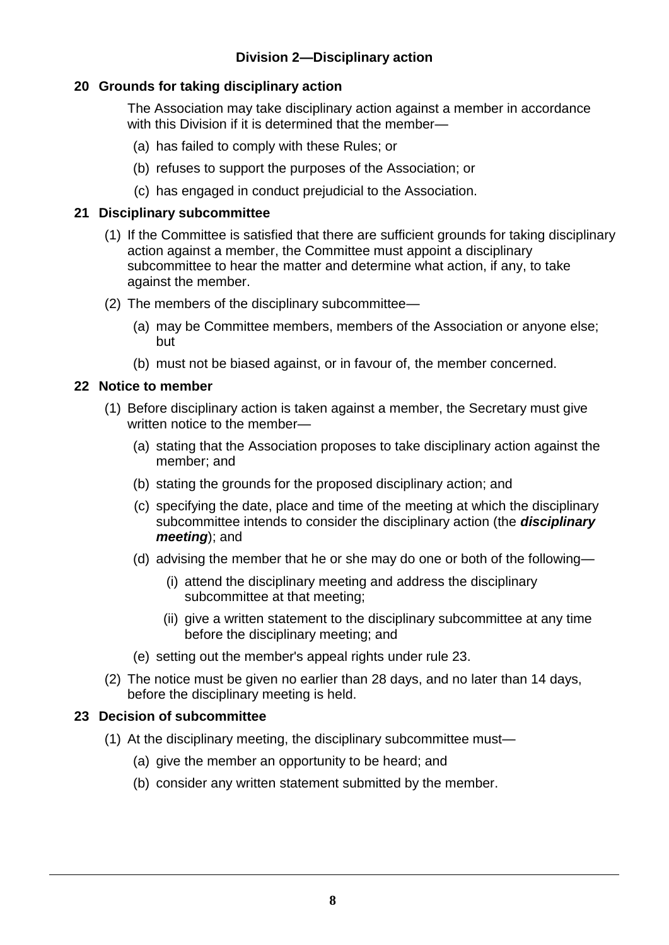# **Division 2—Disciplinary action**

# **20 Grounds for taking disciplinary action**

The Association may take disciplinary action against a member in accordance with this Division if it is determined that the member—

- (a) has failed to comply with these Rules; or
- (b) refuses to support the purposes of the Association; or
- (c) has engaged in conduct prejudicial to the Association.

### **21 Disciplinary subcommittee**

- (1) If the Committee is satisfied that there are sufficient grounds for taking disciplinary action against a member, the Committee must appoint a disciplinary subcommittee to hear the matter and determine what action, if any, to take against the member.
- (2) The members of the disciplinary subcommittee—
	- (a) may be Committee members, members of the Association or anyone else; but
	- (b) must not be biased against, or in favour of, the member concerned.

## **22 Notice to member**

- (1) Before disciplinary action is taken against a member, the Secretary must give written notice to the member—
	- (a) stating that the Association proposes to take disciplinary action against the member; and
	- (b) stating the grounds for the proposed disciplinary action; and
	- (c) specifying the date, place and time of the meeting at which the disciplinary subcommittee intends to consider the disciplinary action (the *disciplinary meeting*); and
	- (d) advising the member that he or she may do one or both of the following—
		- (i) attend the disciplinary meeting and address the disciplinary subcommittee at that meeting;
		- (ii) give a written statement to the disciplinary subcommittee at any time before the disciplinary meeting; and
	- (e) setting out the member's appeal rights under rule 23.
- (2) The notice must be given no earlier than 28 days, and no later than 14 days, before the disciplinary meeting is held.

# **23 Decision of subcommittee**

- (1) At the disciplinary meeting, the disciplinary subcommittee must—
	- (a) give the member an opportunity to be heard; and
	- (b) consider any written statement submitted by the member.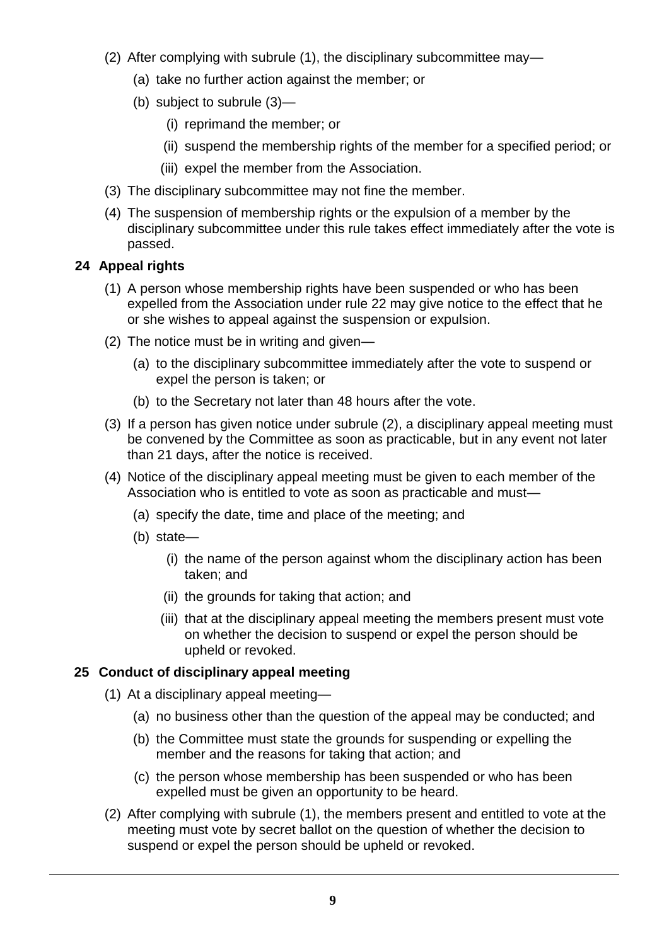- (2) After complying with subrule (1), the disciplinary subcommittee may—
	- (a) take no further action against the member; or
	- (b) subject to subrule (3)—
		- (i) reprimand the member; or
		- (ii) suspend the membership rights of the member for a specified period; or
		- (iii) expel the member from the Association.
- (3) The disciplinary subcommittee may not fine the member.
- (4) The suspension of membership rights or the expulsion of a member by the disciplinary subcommittee under this rule takes effect immediately after the vote is passed.

# **24 Appeal rights**

- (1) A person whose membership rights have been suspended or who has been expelled from the Association under rule 22 may give notice to the effect that he or she wishes to appeal against the suspension or expulsion.
- (2) The notice must be in writing and given—
	- (a) to the disciplinary subcommittee immediately after the vote to suspend or expel the person is taken; or
	- (b) to the Secretary not later than 48 hours after the vote.
- (3) If a person has given notice under subrule (2), a disciplinary appeal meeting must be convened by the Committee as soon as practicable, but in any event not later than 21 days, after the notice is received.
- (4) Notice of the disciplinary appeal meeting must be given to each member of the Association who is entitled to vote as soon as practicable and must—
	- (a) specify the date, time and place of the meeting; and
	- (b) state—
		- (i) the name of the person against whom the disciplinary action has been taken; and
		- (ii) the grounds for taking that action; and
		- (iii) that at the disciplinary appeal meeting the members present must vote on whether the decision to suspend or expel the person should be upheld or revoked.

# **25 Conduct of disciplinary appeal meeting**

- (1) At a disciplinary appeal meeting—
	- (a) no business other than the question of the appeal may be conducted; and
	- (b) the Committee must state the grounds for suspending or expelling the member and the reasons for taking that action; and
	- (c) the person whose membership has been suspended or who has been expelled must be given an opportunity to be heard.
- (2) After complying with subrule (1), the members present and entitled to vote at the meeting must vote by secret ballot on the question of whether the decision to suspend or expel the person should be upheld or revoked.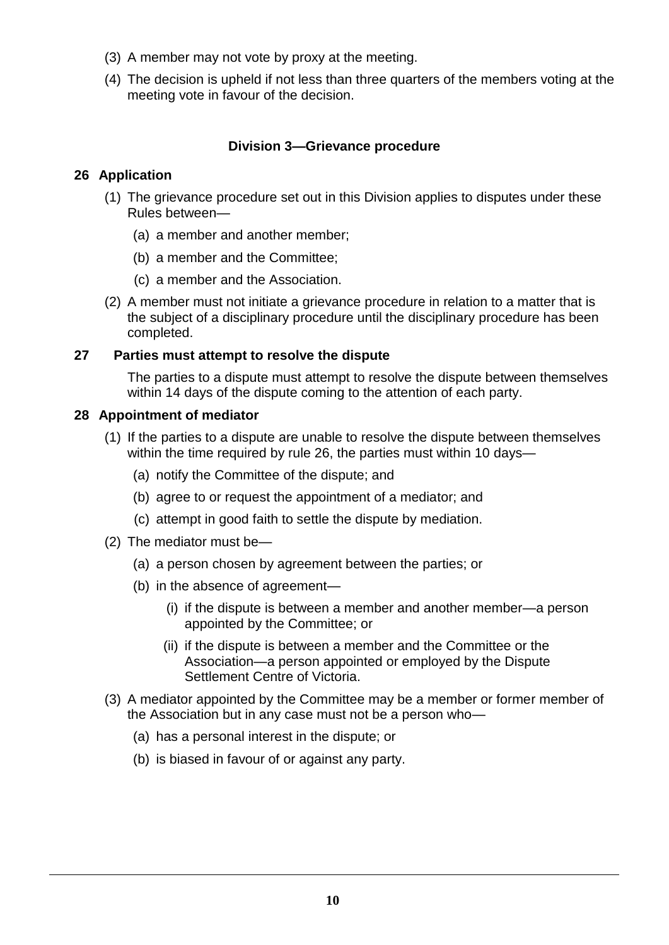- (3) A member may not vote by proxy at the meeting.
- (4) The decision is upheld if not less than three quarters of the members voting at the meeting vote in favour of the decision.

# **Division 3—Grievance procedure**

# **26 Application**

- (1) The grievance procedure set out in this Division applies to disputes under these Rules between—
	- (a) a member and another member;
	- (b) a member and the Committee;
	- (c) a member and the Association.
- (2) A member must not initiate a grievance procedure in relation to a matter that is the subject of a disciplinary procedure until the disciplinary procedure has been completed.

#### **27 Parties must attempt to resolve the dispute**

The parties to a dispute must attempt to resolve the dispute between themselves within 14 days of the dispute coming to the attention of each party.

## **28 Appointment of mediator**

- (1) If the parties to a dispute are unable to resolve the dispute between themselves within the time required by rule 26, the parties must within 10 days—
	- (a) notify the Committee of the dispute; and
	- (b) agree to or request the appointment of a mediator; and
	- (c) attempt in good faith to settle the dispute by mediation.
- (2) The mediator must be—
	- (a) a person chosen by agreement between the parties; or
	- (b) in the absence of agreement—
		- (i) if the dispute is between a member and another member—a person appointed by the Committee; or
		- (ii) if the dispute is between a member and the Committee or the Association—a person appointed or employed by the Dispute Settlement Centre of Victoria.
- (3) A mediator appointed by the Committee may be a member or former member of the Association but in any case must not be a person who—
	- (a) has a personal interest in the dispute; or
	- (b) is biased in favour of or against any party.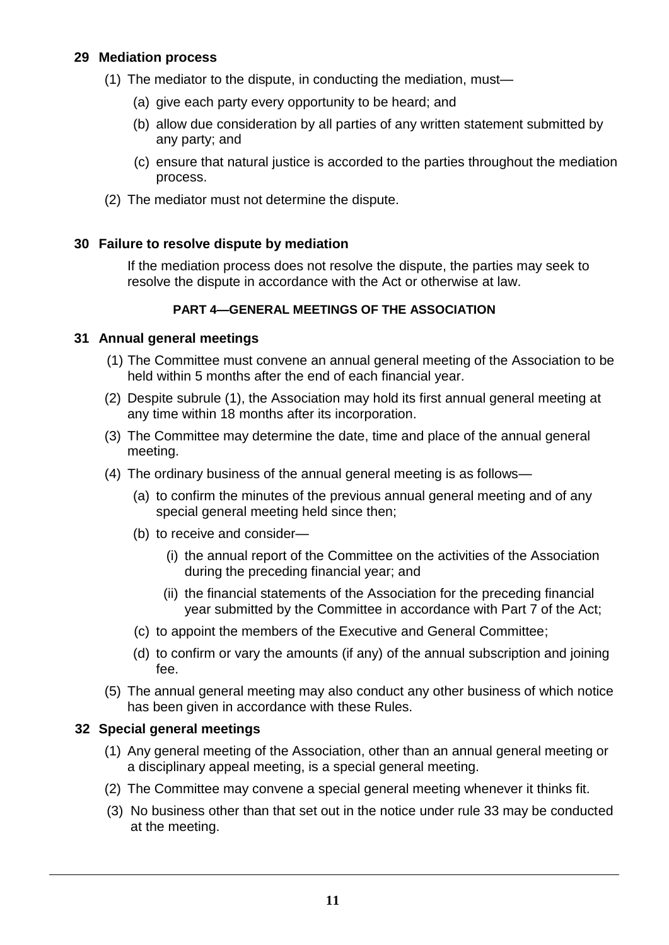## **29 Mediation process**

- (1) The mediator to the dispute, in conducting the mediation, must—
	- (a) give each party every opportunity to be heard; and
	- (b) allow due consideration by all parties of any written statement submitted by any party; and
	- (c) ensure that natural justice is accorded to the parties throughout the mediation process.
- (2) The mediator must not determine the dispute.

## **30 Failure to resolve dispute by mediation**

If the mediation process does not resolve the dispute, the parties may seek to resolve the dispute in accordance with the Act or otherwise at law.

## **PART 4—GENERAL MEETINGS OF THE ASSOCIATION**

## **31 Annual general meetings**

- (1) The Committee must convene an annual general meeting of the Association to be held within 5 months after the end of each financial year.
- (2) Despite subrule (1), the Association may hold its first annual general meeting at any time within 18 months after its incorporation.
- (3) The Committee may determine the date, time and place of the annual general meeting.
- (4) The ordinary business of the annual general meeting is as follows—
	- (a) to confirm the minutes of the previous annual general meeting and of any special general meeting held since then;
	- (b) to receive and consider—
		- (i) the annual report of the Committee on the activities of the Association during the preceding financial year; and
		- (ii) the financial statements of the Association for the preceding financial year submitted by the Committee in accordance with Part 7 of the Act;
	- (c) to appoint the members of the Executive and General Committee;
	- (d) to confirm or vary the amounts (if any) of the annual subscription and joining fee.
- (5) The annual general meeting may also conduct any other business of which notice has been given in accordance with these Rules.

#### **32 Special general meetings**

- (1) Any general meeting of the Association, other than an annual general meeting or a disciplinary appeal meeting, is a special general meeting.
- (2) The Committee may convene a special general meeting whenever it thinks fit.
- (3) No business other than that set out in the notice under rule 33 may be conducted at the meeting.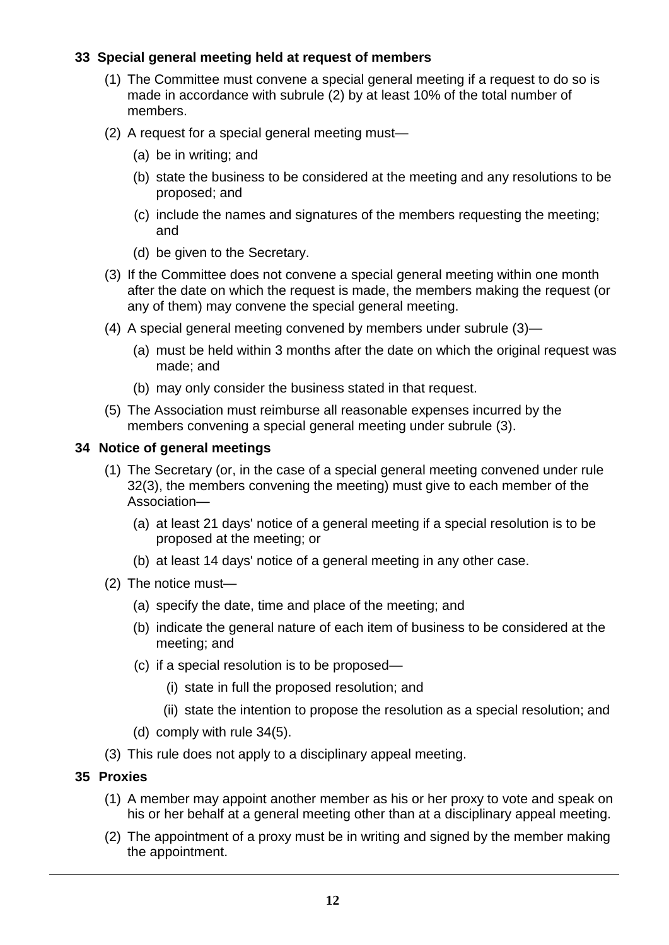# **33 Special general meeting held at request of members**

- (1) The Committee must convene a special general meeting if a request to do so is made in accordance with subrule (2) by at least 10% of the total number of members.
- (2) A request for a special general meeting must—
	- (a) be in writing; and
	- (b) state the business to be considered at the meeting and any resolutions to be proposed; and
	- (c) include the names and signatures of the members requesting the meeting; and
	- (d) be given to the Secretary.
- (3) If the Committee does not convene a special general meeting within one month after the date on which the request is made, the members making the request (or any of them) may convene the special general meeting.
- (4) A special general meeting convened by members under subrule (3)—
	- (a) must be held within 3 months after the date on which the original request was made; and
	- (b) may only consider the business stated in that request.
- (5) The Association must reimburse all reasonable expenses incurred by the members convening a special general meeting under subrule (3).

## **34 Notice of general meetings**

- (1) The Secretary (or, in the case of a special general meeting convened under rule 32(3), the members convening the meeting) must give to each member of the Association—
	- (a) at least 21 days' notice of a general meeting if a special resolution is to be proposed at the meeting; or
	- (b) at least 14 days' notice of a general meeting in any other case.
- (2) The notice must—
	- (a) specify the date, time and place of the meeting; and
	- (b) indicate the general nature of each item of business to be considered at the meeting; and
	- (c) if a special resolution is to be proposed—
		- (i) state in full the proposed resolution; and
		- (ii) state the intention to propose the resolution as a special resolution; and
	- (d) comply with rule 34(5).
- (3) This rule does not apply to a disciplinary appeal meeting.

# **35 Proxies**

- (1) A member may appoint another member as his or her proxy to vote and speak on his or her behalf at a general meeting other than at a disciplinary appeal meeting.
- (2) The appointment of a proxy must be in writing and signed by the member making the appointment.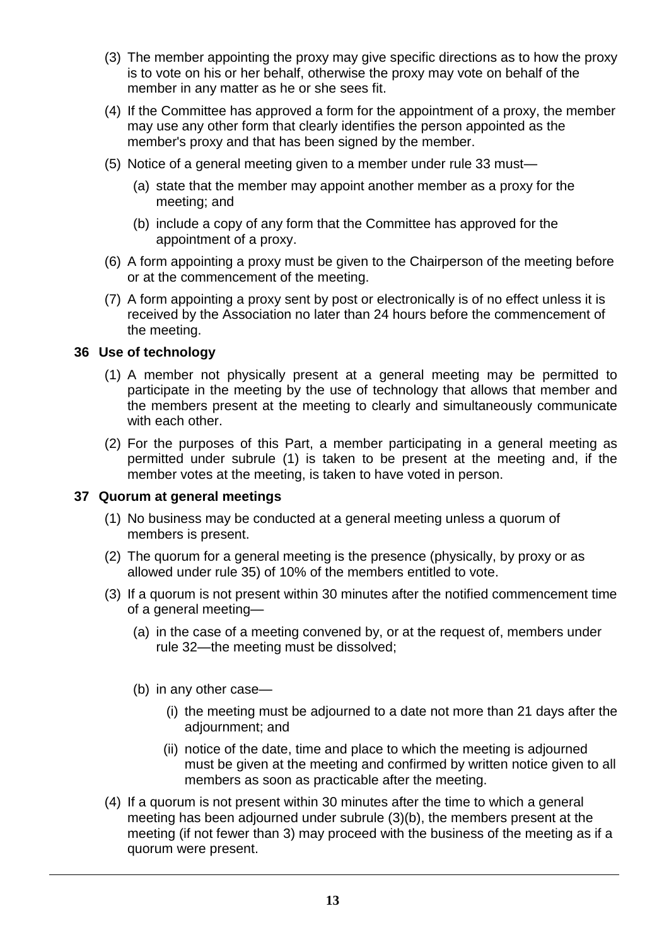- (3) The member appointing the proxy may give specific directions as to how the proxy is to vote on his or her behalf, otherwise the proxy may vote on behalf of the member in any matter as he or she sees fit.
- (4) If the Committee has approved a form for the appointment of a proxy, the member may use any other form that clearly identifies the person appointed as the member's proxy and that has been signed by the member.
- (5) Notice of a general meeting given to a member under rule 33 must—
	- (a) state that the member may appoint another member as a proxy for the meeting; and
	- (b) include a copy of any form that the Committee has approved for the appointment of a proxy.
- (6) A form appointing a proxy must be given to the Chairperson of the meeting before or at the commencement of the meeting.
- (7) A form appointing a proxy sent by post or electronically is of no effect unless it is received by the Association no later than 24 hours before the commencement of the meeting.

# **36 Use of technology**

- (1) A member not physically present at a general meeting may be permitted to participate in the meeting by the use of technology that allows that member and the members present at the meeting to clearly and simultaneously communicate with each other.
- (2) For the purposes of this Part, a member participating in a general meeting as permitted under subrule (1) is taken to be present at the meeting and, if the member votes at the meeting, is taken to have voted in person.

# **37 Quorum at general meetings**

- (1) No business may be conducted at a general meeting unless a quorum of members is present.
- (2) The quorum for a general meeting is the presence (physically, by proxy or as allowed under rule 35) of 10% of the members entitled to vote.
- (3) If a quorum is not present within 30 minutes after the notified commencement time of a general meeting—
	- (a) in the case of a meeting convened by, or at the request of, members under rule 32—the meeting must be dissolved;
	- (b) in any other case—
		- (i) the meeting must be adjourned to a date not more than 21 days after the adjournment; and
		- (ii) notice of the date, time and place to which the meeting is adjourned must be given at the meeting and confirmed by written notice given to all members as soon as practicable after the meeting.
- (4) If a quorum is not present within 30 minutes after the time to which a general meeting has been adjourned under subrule (3)(b), the members present at the meeting (if not fewer than 3) may proceed with the business of the meeting as if a quorum were present.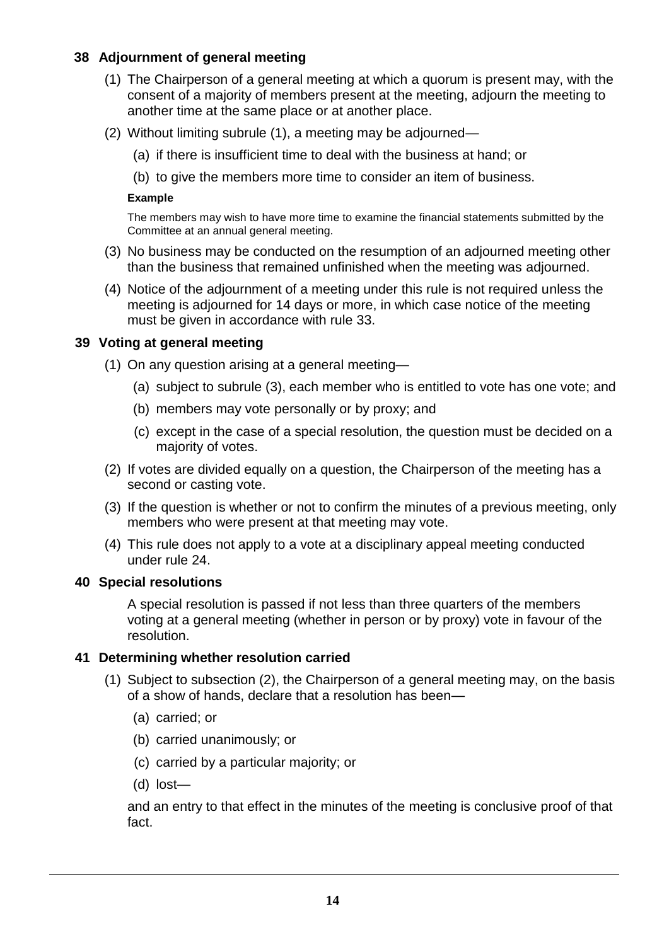# **38 Adjournment of general meeting**

- (1) The Chairperson of a general meeting at which a quorum is present may, with the consent of a majority of members present at the meeting, adjourn the meeting to another time at the same place or at another place.
- (2) Without limiting subrule (1), a meeting may be adjourned—
	- (a) if there is insufficient time to deal with the business at hand; or
	- (b) to give the members more time to consider an item of business.

#### **Example**

The members may wish to have more time to examine the financial statements submitted by the Committee at an annual general meeting.

- (3) No business may be conducted on the resumption of an adjourned meeting other than the business that remained unfinished when the meeting was adjourned.
- (4) Notice of the adjournment of a meeting under this rule is not required unless the meeting is adjourned for 14 days or more, in which case notice of the meeting must be given in accordance with rule 33.

## **39 Voting at general meeting**

- (1) On any question arising at a general meeting—
	- (a) subject to subrule (3), each member who is entitled to vote has one vote; and
	- (b) members may vote personally or by proxy; and
	- (c) except in the case of a special resolution, the question must be decided on a majority of votes.
- (2) If votes are divided equally on a question, the Chairperson of the meeting has a second or casting vote.
- (3) If the question is whether or not to confirm the minutes of a previous meeting, only members who were present at that meeting may vote.
- (4) This rule does not apply to a vote at a disciplinary appeal meeting conducted under rule 24.

#### **40 Special resolutions**

A special resolution is passed if not less than three quarters of the members voting at a general meeting (whether in person or by proxy) vote in favour of the resolution.

# **41 Determining whether resolution carried**

- (1) Subject to subsection (2), the Chairperson of a general meeting may, on the basis of a show of hands, declare that a resolution has been—
	- (a) carried; or
	- (b) carried unanimously; or
	- (c) carried by a particular majority; or
	- (d) lost—

and an entry to that effect in the minutes of the meeting is conclusive proof of that fact.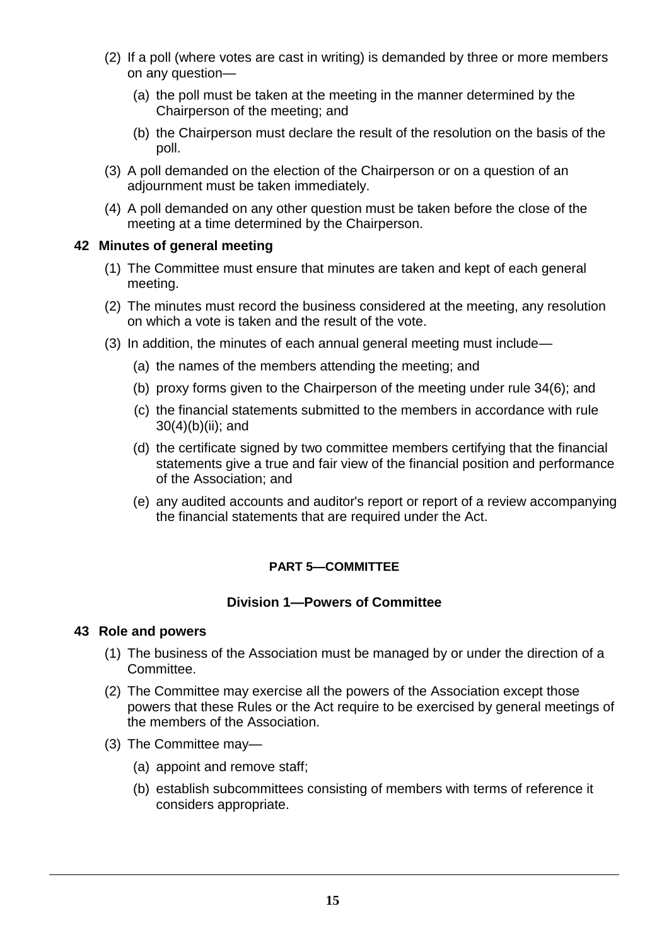- (2) If a poll (where votes are cast in writing) is demanded by three or more members on any question—
	- (a) the poll must be taken at the meeting in the manner determined by the Chairperson of the meeting; and
	- (b) the Chairperson must declare the result of the resolution on the basis of the poll.
- (3) A poll demanded on the election of the Chairperson or on a question of an adjournment must be taken immediately.
- (4) A poll demanded on any other question must be taken before the close of the meeting at a time determined by the Chairperson.

## **42 Minutes of general meeting**

- (1) The Committee must ensure that minutes are taken and kept of each general meeting.
- (2) The minutes must record the business considered at the meeting, any resolution on which a vote is taken and the result of the vote.
- (3) In addition, the minutes of each annual general meeting must include—
	- (a) the names of the members attending the meeting; and
	- (b) proxy forms given to the Chairperson of the meeting under rule 34(6); and
	- (c) the financial statements submitted to the members in accordance with rule 30(4)(b)(ii); and
	- (d) the certificate signed by two committee members certifying that the financial statements give a true and fair view of the financial position and performance of the Association; and
	- (e) any audited accounts and auditor's report or report of a review accompanying the financial statements that are required under the Act.

# **PART 5—COMMITTEE**

# **Division 1—Powers of Committee**

#### **43 Role and powers**

- (1) The business of the Association must be managed by or under the direction of a Committee.
- (2) The Committee may exercise all the powers of the Association except those powers that these Rules or the Act require to be exercised by general meetings of the members of the Association.
- (3) The Committee may—
	- (a) appoint and remove staff;
	- (b) establish subcommittees consisting of members with terms of reference it considers appropriate.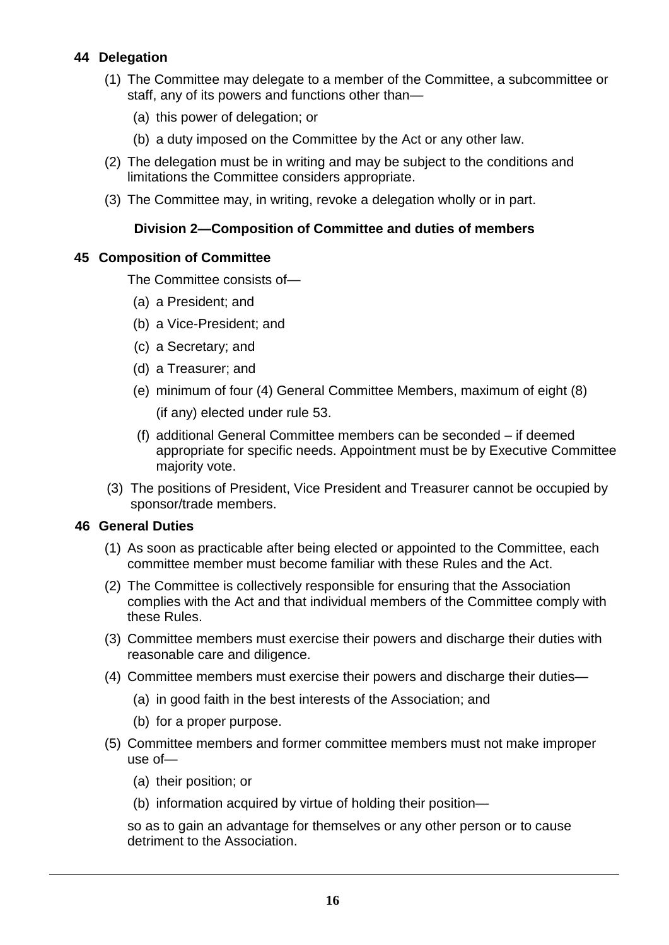# **44 Delegation**

- (1) The Committee may delegate to a member of the Committee, a subcommittee or staff, any of its powers and functions other than—
	- (a) this power of delegation; or
	- (b) a duty imposed on the Committee by the Act or any other law.
- (2) The delegation must be in writing and may be subject to the conditions and limitations the Committee considers appropriate.
- (3) The Committee may, in writing, revoke a delegation wholly or in part.

## **Division 2—Composition of Committee and duties of members**

#### **45 Composition of Committee**

The Committee consists of—

- (a) a President; and
- (b) a Vice-President; and
- (c) a Secretary; and
- (d) a Treasurer; and
- (e) minimum of four (4) General Committee Members, maximum of eight (8) (if any) elected under rule 53.
- (f) additional General Committee members can be seconded if deemed appropriate for specific needs. Appointment must be by Executive Committee majority vote.
- (3) The positions of President, Vice President and Treasurer cannot be occupied by sponsor/trade members.

#### **46 General Duties**

- (1) As soon as practicable after being elected or appointed to the Committee, each committee member must become familiar with these Rules and the Act.
- (2) The Committee is collectively responsible for ensuring that the Association complies with the Act and that individual members of the Committee comply with these Rules.
- (3) Committee members must exercise their powers and discharge their duties with reasonable care and diligence.
- (4) Committee members must exercise their powers and discharge their duties—
	- (a) in good faith in the best interests of the Association; and
	- (b) for a proper purpose.
- (5) Committee members and former committee members must not make improper use of—
	- (a) their position; or
	- (b) information acquired by virtue of holding their position—

so as to gain an advantage for themselves or any other person or to cause detriment to the Association.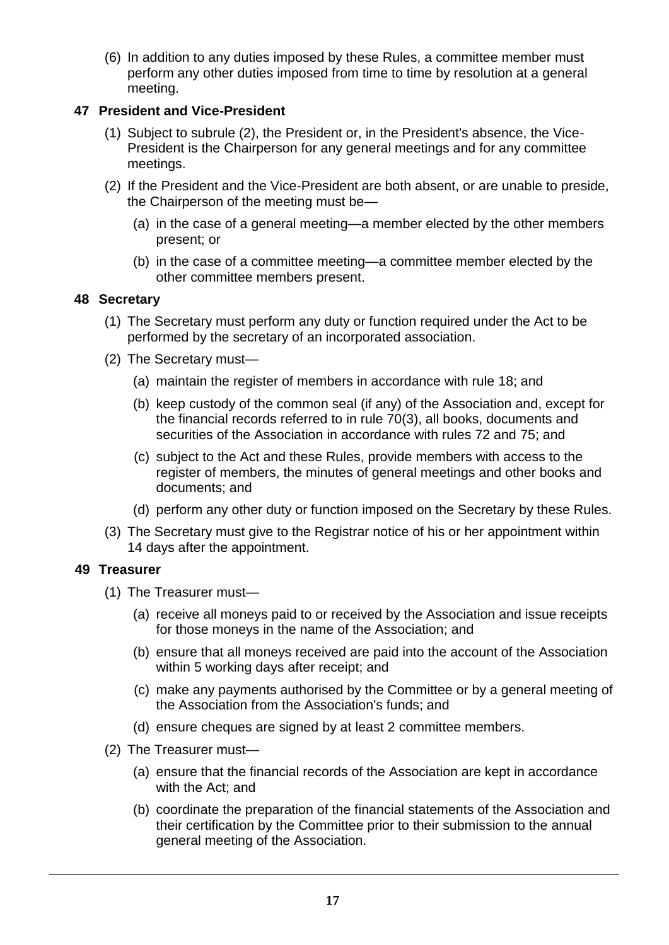(6) In addition to any duties imposed by these Rules, a committee member must perform any other duties imposed from time to time by resolution at a general meeting.

# **47 President and Vice-President**

- (1) Subject to subrule (2), the President or, in the President's absence, the Vice-President is the Chairperson for any general meetings and for any committee meetings.
- (2) If the President and the Vice-President are both absent, or are unable to preside, the Chairperson of the meeting must be—
	- (a) in the case of a general meeting—a member elected by the other members present; or
	- (b) in the case of a committee meeting—a committee member elected by the other committee members present.

# **48 Secretary**

- (1) The Secretary must perform any duty or function required under the Act to be performed by the secretary of an incorporated association.
- (2) The Secretary must—
	- (a) maintain the register of members in accordance with rule 18; and
	- (b) keep custody of the common seal (if any) of the Association and, except for the financial records referred to in rule 70(3), all books, documents and securities of the Association in accordance with rules 72 and 75; and
	- (c) subject to the Act and these Rules, provide members with access to the register of members, the minutes of general meetings and other books and documents; and
	- (d) perform any other duty or function imposed on the Secretary by these Rules.
- (3) The Secretary must give to the Registrar notice of his or her appointment within 14 days after the appointment.

# **49 Treasurer**

- (1) The Treasurer must—
	- (a) receive all moneys paid to or received by the Association and issue receipts for those moneys in the name of the Association; and
	- (b) ensure that all moneys received are paid into the account of the Association within 5 working days after receipt; and
	- (c) make any payments authorised by the Committee or by a general meeting of the Association from the Association's funds; and
	- (d) ensure cheques are signed by at least 2 committee members.
- (2) The Treasurer must—
	- (a) ensure that the financial records of the Association are kept in accordance with the Act; and
	- (b) coordinate the preparation of the financial statements of the Association and their certification by the Committee prior to their submission to the annual general meeting of the Association.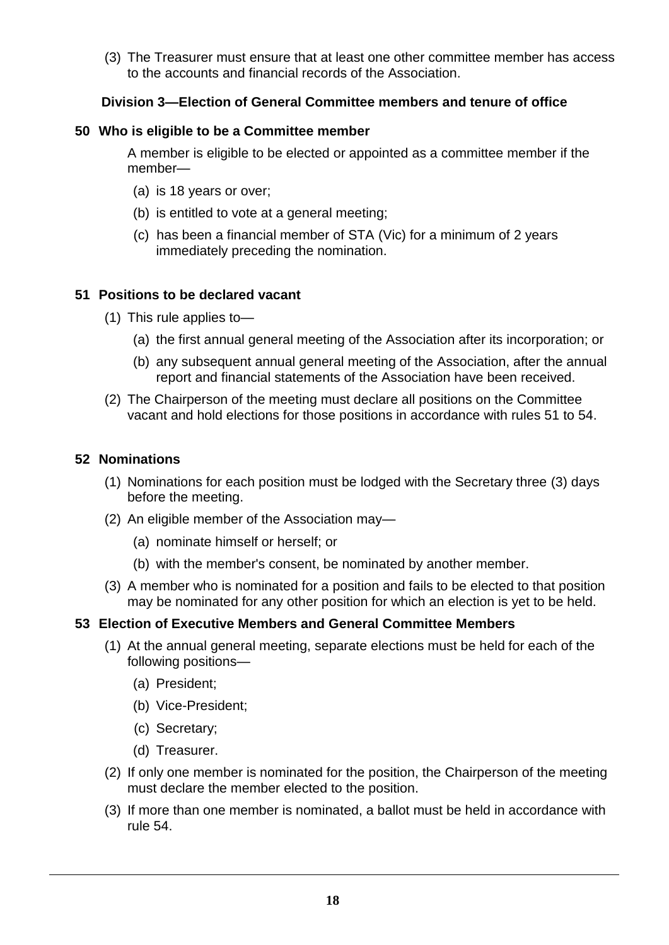(3) The Treasurer must ensure that at least one other committee member has access to the accounts and financial records of the Association.

# **Division 3—Election of General Committee members and tenure of office**

#### **50 Who is eligible to be a Committee member**

A member is eligible to be elected or appointed as a committee member if the member—

- (a) is 18 years or over;
- (b) is entitled to vote at a general meeting;
- (c) has been a financial member of STA (Vic) for a minimum of 2 years immediately preceding the nomination.

#### **51 Positions to be declared vacant**

- (1) This rule applies to—
	- (a) the first annual general meeting of the Association after its incorporation; or
	- (b) any subsequent annual general meeting of the Association, after the annual report and financial statements of the Association have been received.
- (2) The Chairperson of the meeting must declare all positions on the Committee vacant and hold elections for those positions in accordance with rules 51 to 54.

#### **52 Nominations**

- (1) Nominations for each position must be lodged with the Secretary three (3) days before the meeting.
- (2) An eligible member of the Association may—
	- (a) nominate himself or herself; or
	- (b) with the member's consent, be nominated by another member.
- (3) A member who is nominated for a position and fails to be elected to that position may be nominated for any other position for which an election is yet to be held.

#### **53 Election of Executive Members and General Committee Members**

- (1) At the annual general meeting, separate elections must be held for each of the following positions—
	- (a) President;
	- (b) Vice-President;
	- (c) Secretary;
	- (d) Treasurer.
- (2) If only one member is nominated for the position, the Chairperson of the meeting must declare the member elected to the position.
- (3) If more than one member is nominated, a ballot must be held in accordance with rule 54.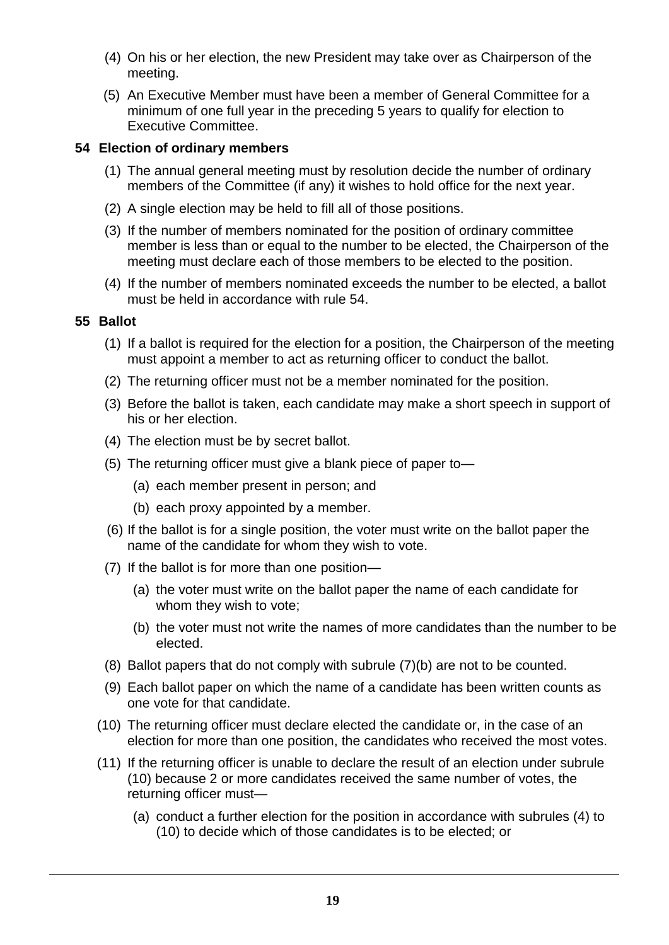- (4) On his or her election, the new President may take over as Chairperson of the meeting.
- (5) An Executive Member must have been a member of General Committee for a minimum of one full year in the preceding 5 years to qualify for election to Executive Committee.

## **54 Election of ordinary members**

- (1) The annual general meeting must by resolution decide the number of ordinary members of the Committee (if any) it wishes to hold office for the next year.
- (2) A single election may be held to fill all of those positions.
- (3) If the number of members nominated for the position of ordinary committee member is less than or equal to the number to be elected, the Chairperson of the meeting must declare each of those members to be elected to the position.
- (4) If the number of members nominated exceeds the number to be elected, a ballot must be held in accordance with rule 54.

## **55 Ballot**

- (1) If a ballot is required for the election for a position, the Chairperson of the meeting must appoint a member to act as returning officer to conduct the ballot.
- (2) The returning officer must not be a member nominated for the position.
- (3) Before the ballot is taken, each candidate may make a short speech in support of his or her election.
- (4) The election must be by secret ballot.
- (5) The returning officer must give a blank piece of paper to—
	- (a) each member present in person; and
	- (b) each proxy appointed by a member.
- (6) If the ballot is for a single position, the voter must write on the ballot paper the name of the candidate for whom they wish to vote.
- (7) If the ballot is for more than one position—
	- (a) the voter must write on the ballot paper the name of each candidate for whom they wish to vote;
	- (b) the voter must not write the names of more candidates than the number to be elected.
- (8) Ballot papers that do not comply with subrule (7)(b) are not to be counted.
- (9) Each ballot paper on which the name of a candidate has been written counts as one vote for that candidate.
- (10) The returning officer must declare elected the candidate or, in the case of an election for more than one position, the candidates who received the most votes.
- (11) If the returning officer is unable to declare the result of an election under subrule (10) because 2 or more candidates received the same number of votes, the returning officer must—
	- (a) conduct a further election for the position in accordance with subrules (4) to (10) to decide which of those candidates is to be elected; or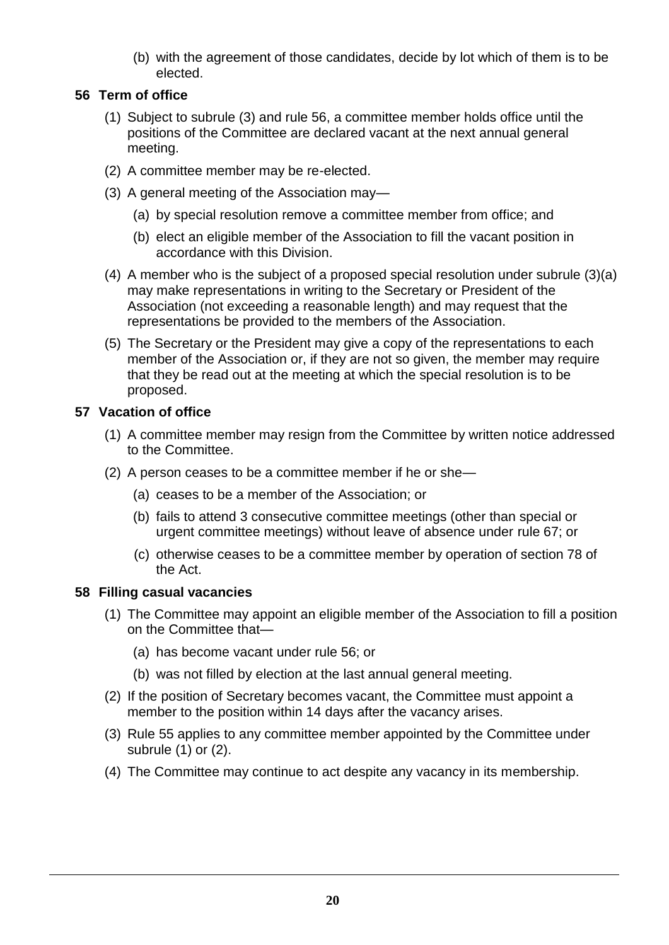(b) with the agreement of those candidates, decide by lot which of them is to be elected.

# **56 Term of office**

- (1) Subject to subrule (3) and rule 56, a committee member holds office until the positions of the Committee are declared vacant at the next annual general meeting.
- (2) A committee member may be re-elected.
- (3) A general meeting of the Association may—
	- (a) by special resolution remove a committee member from office; and
	- (b) elect an eligible member of the Association to fill the vacant position in accordance with this Division.
- (4) A member who is the subject of a proposed special resolution under subrule (3)(a) may make representations in writing to the Secretary or President of the Association (not exceeding a reasonable length) and may request that the representations be provided to the members of the Association.
- (5) The Secretary or the President may give a copy of the representations to each member of the Association or, if they are not so given, the member may require that they be read out at the meeting at which the special resolution is to be proposed.

## **57 Vacation of office**

- (1) A committee member may resign from the Committee by written notice addressed to the Committee.
- (2) A person ceases to be a committee member if he or she—
	- (a) ceases to be a member of the Association; or
	- (b) fails to attend 3 consecutive committee meetings (other than special or urgent committee meetings) without leave of absence under rule 67; or
	- (c) otherwise ceases to be a committee member by operation of section 78 of the Act.

# **58 Filling casual vacancies**

- (1) The Committee may appoint an eligible member of the Association to fill a position on the Committee that—
	- (a) has become vacant under rule 56; or
	- (b) was not filled by election at the last annual general meeting.
- (2) If the position of Secretary becomes vacant, the Committee must appoint a member to the position within 14 days after the vacancy arises.
- (3) Rule 55 applies to any committee member appointed by the Committee under subrule (1) or (2).
- (4) The Committee may continue to act despite any vacancy in its membership.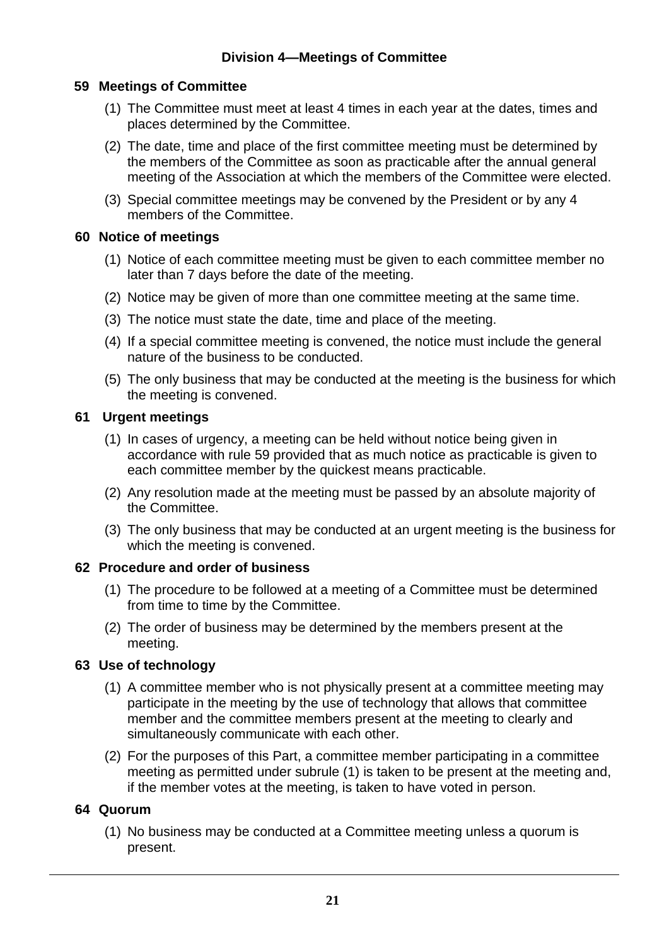## **59 Meetings of Committee**

- (1) The Committee must meet at least 4 times in each year at the dates, times and places determined by the Committee.
- (2) The date, time and place of the first committee meeting must be determined by the members of the Committee as soon as practicable after the annual general meeting of the Association at which the members of the Committee were elected.
- (3) Special committee meetings may be convened by the President or by any 4 members of the Committee.

#### **60 Notice of meetings**

- (1) Notice of each committee meeting must be given to each committee member no later than 7 days before the date of the meeting.
- (2) Notice may be given of more than one committee meeting at the same time.
- (3) The notice must state the date, time and place of the meeting.
- (4) If a special committee meeting is convened, the notice must include the general nature of the business to be conducted.
- (5) The only business that may be conducted at the meeting is the business for which the meeting is convened.

# **61 Urgent meetings**

- (1) In cases of urgency, a meeting can be held without notice being given in accordance with rule 59 provided that as much notice as practicable is given to each committee member by the quickest means practicable.
- (2) Any resolution made at the meeting must be passed by an absolute majority of the Committee.
- (3) The only business that may be conducted at an urgent meeting is the business for which the meeting is convened.

#### **62 Procedure and order of business**

- (1) The procedure to be followed at a meeting of a Committee must be determined from time to time by the Committee.
- (2) The order of business may be determined by the members present at the meeting.

# **63 Use of technology**

- (1) A committee member who is not physically present at a committee meeting may participate in the meeting by the use of technology that allows that committee member and the committee members present at the meeting to clearly and simultaneously communicate with each other.
- (2) For the purposes of this Part, a committee member participating in a committee meeting as permitted under subrule (1) is taken to be present at the meeting and, if the member votes at the meeting, is taken to have voted in person.

# **64 Quorum**

(1) No business may be conducted at a Committee meeting unless a quorum is present.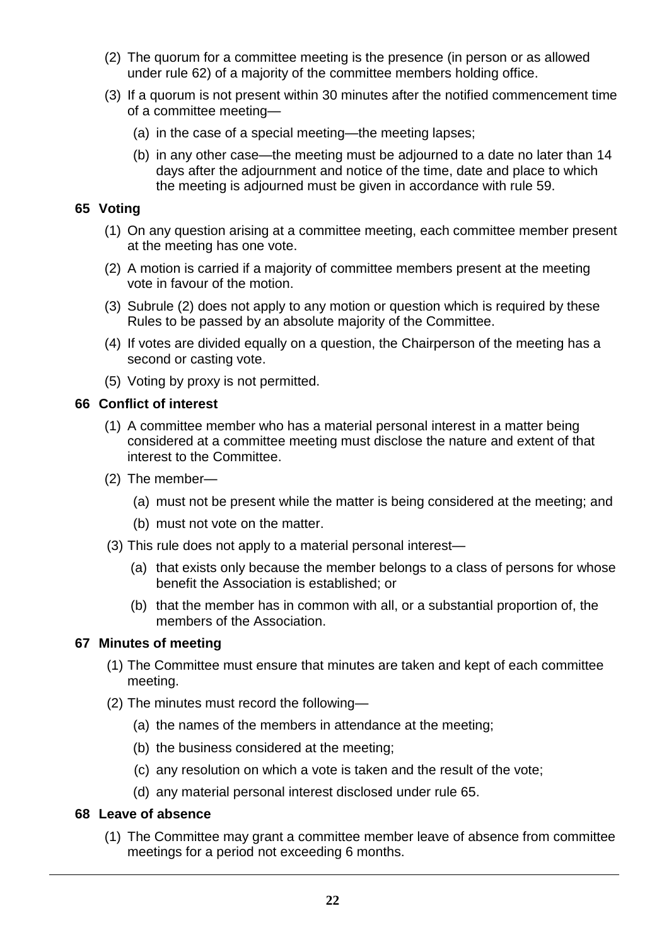- (2) The quorum for a committee meeting is the presence (in person or as allowed under rule 62) of a majority of the committee members holding office.
- (3) If a quorum is not present within 30 minutes after the notified commencement time of a committee meeting—
	- (a) in the case of a special meeting—the meeting lapses;
	- (b) in any other case—the meeting must be adjourned to a date no later than 14 days after the adjournment and notice of the time, date and place to which the meeting is adjourned must be given in accordance with rule 59.

#### **65 Voting**

- (1) On any question arising at a committee meeting, each committee member present at the meeting has one vote.
- (2) A motion is carried if a majority of committee members present at the meeting vote in favour of the motion.
- (3) Subrule (2) does not apply to any motion or question which is required by these Rules to be passed by an absolute majority of the Committee.
- (4) If votes are divided equally on a question, the Chairperson of the meeting has a second or casting vote.
- (5) Voting by proxy is not permitted.

#### **66 Conflict of interest**

- (1) A committee member who has a material personal interest in a matter being considered at a committee meeting must disclose the nature and extent of that interest to the Committee.
- (2) The member—
	- (a) must not be present while the matter is being considered at the meeting; and
	- (b) must not vote on the matter.
- (3) This rule does not apply to a material personal interest—
	- (a) that exists only because the member belongs to a class of persons for whose benefit the Association is established; or
	- (b) that the member has in common with all, or a substantial proportion of, the members of the Association.

#### **67 Minutes of meeting**

- (1) The Committee must ensure that minutes are taken and kept of each committee meeting.
- (2) The minutes must record the following—
	- (a) the names of the members in attendance at the meeting;
	- (b) the business considered at the meeting;
	- (c) any resolution on which a vote is taken and the result of the vote;
	- (d) any material personal interest disclosed under rule 65.

#### **68 Leave of absence**

(1) The Committee may grant a committee member leave of absence from committee meetings for a period not exceeding 6 months.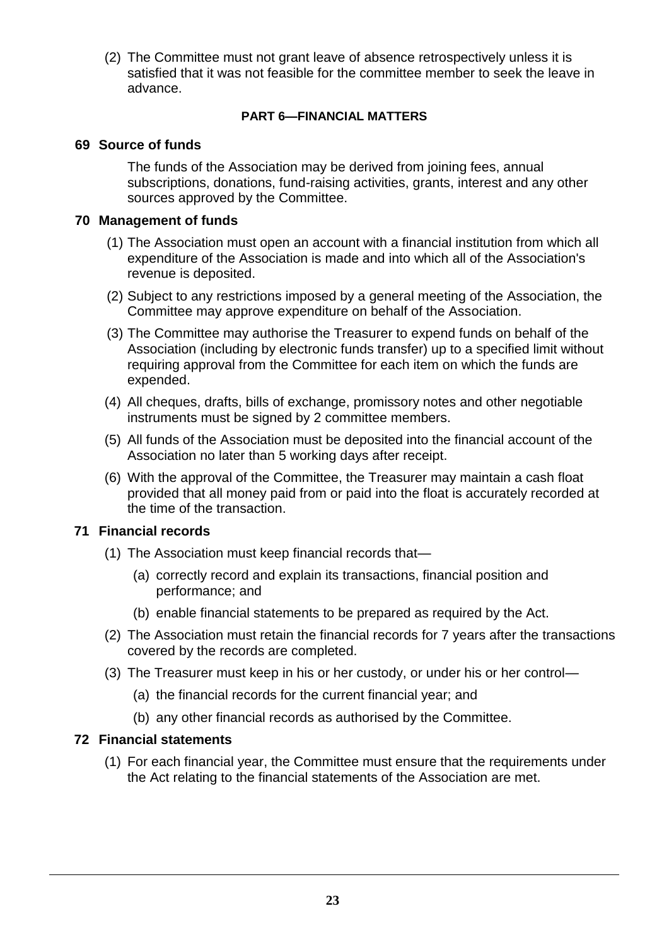(2) The Committee must not grant leave of absence retrospectively unless it is satisfied that it was not feasible for the committee member to seek the leave in advance.

## **PART 6—FINANCIAL MATTERS**

## **69 Source of funds**

The funds of the Association may be derived from joining fees, annual subscriptions, donations, fund-raising activities, grants, interest and any other sources approved by the Committee.

## **70 Management of funds**

- (1) The Association must open an account with a financial institution from which all expenditure of the Association is made and into which all of the Association's revenue is deposited.
- (2) Subject to any restrictions imposed by a general meeting of the Association, the Committee may approve expenditure on behalf of the Association.
- (3) The Committee may authorise the Treasurer to expend funds on behalf of the Association (including by electronic funds transfer) up to a specified limit without requiring approval from the Committee for each item on which the funds are expended.
- (4) All cheques, drafts, bills of exchange, promissory notes and other negotiable instruments must be signed by 2 committee members.
- (5) All funds of the Association must be deposited into the financial account of the Association no later than 5 working days after receipt.
- (6) With the approval of the Committee, the Treasurer may maintain a cash float provided that all money paid from or paid into the float is accurately recorded at the time of the transaction.

# **71 Financial records**

- (1) The Association must keep financial records that—
	- (a) correctly record and explain its transactions, financial position and performance; and
	- (b) enable financial statements to be prepared as required by the Act.
- (2) The Association must retain the financial records for 7 years after the transactions covered by the records are completed.
- (3) The Treasurer must keep in his or her custody, or under his or her control—
	- (a) the financial records for the current financial year; and
	- (b) any other financial records as authorised by the Committee.

#### **72 Financial statements**

(1) For each financial year, the Committee must ensure that the requirements under the Act relating to the financial statements of the Association are met.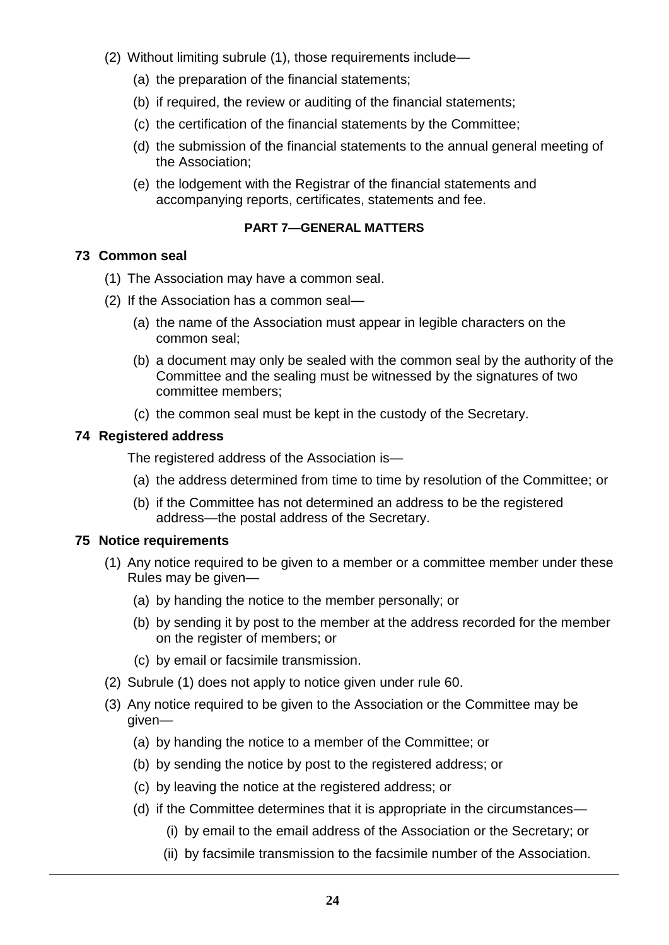- (2) Without limiting subrule (1), those requirements include—
	- (a) the preparation of the financial statements;
	- (b) if required, the review or auditing of the financial statements;
	- (c) the certification of the financial statements by the Committee;
	- (d) the submission of the financial statements to the annual general meeting of the Association;
	- (e) the lodgement with the Registrar of the financial statements and accompanying reports, certificates, statements and fee.

## **PART 7—GENERAL MATTERS**

## **73 Common seal**

- (1) The Association may have a common seal.
- (2) If the Association has a common seal—
	- (a) the name of the Association must appear in legible characters on the common seal;
	- (b) a document may only be sealed with the common seal by the authority of the Committee and the sealing must be witnessed by the signatures of two committee members;
	- (c) the common seal must be kept in the custody of the Secretary.

#### **74 Registered address**

The registered address of the Association is—

- (a) the address determined from time to time by resolution of the Committee; or
- (b) if the Committee has not determined an address to be the registered address—the postal address of the Secretary.

#### **75 Notice requirements**

- (1) Any notice required to be given to a member or a committee member under these Rules may be given—
	- (a) by handing the notice to the member personally; or
	- (b) by sending it by post to the member at the address recorded for the member on the register of members; or
	- (c) by email or facsimile transmission.
- (2) Subrule (1) does not apply to notice given under rule 60.
- (3) Any notice required to be given to the Association or the Committee may be given—
	- (a) by handing the notice to a member of the Committee; or
	- (b) by sending the notice by post to the registered address; or
	- (c) by leaving the notice at the registered address; or
	- (d) if the Committee determines that it is appropriate in the circumstances—
		- (i) by email to the email address of the Association or the Secretary; or
		- (ii) by facsimile transmission to the facsimile number of the Association.